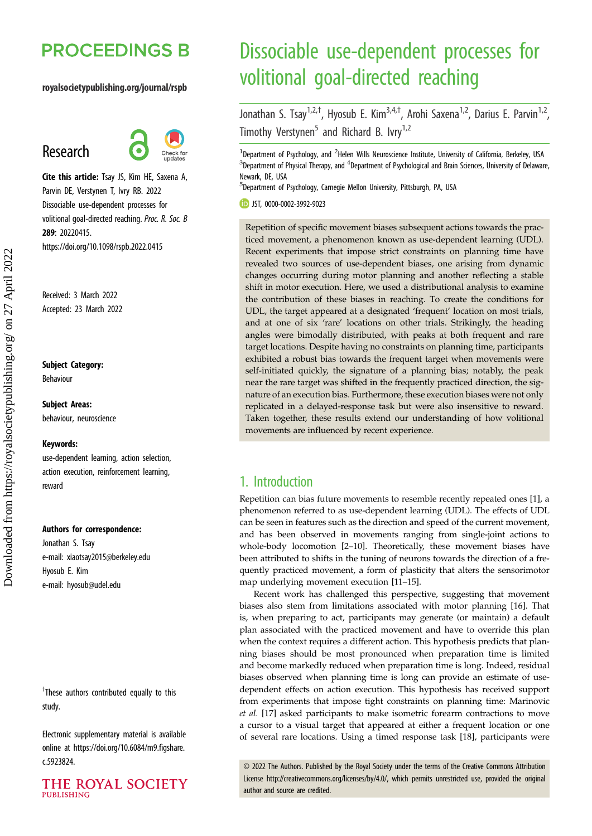# **PROCEEDINGS B**

#### royalsocietypublishing.org/journal/rspb

# Research



Cite this article: Tsay JS, Kim HE, Saxena A, Parvin DE, Verstynen T, Ivry RB. 2022 Dissociable use-dependent processes for volitional goal-directed reaching. Proc. R. Soc. B 289: 20220415. https://doi.org/10.1098/rspb.2022.0415

Received: 3 March 2022 Accepted: 23 March 2022

#### Subject Category:

Behaviour

Subject Areas: behaviour, neuroscience

#### Keywords:

use-dependent learning, action selection, action execution, reinforcement learning, reward

#### Authors for correspondence:

Jonathan S. Tsay e-mail: [xiaotsay2015@berkeley.edu](mailto:xiaotsay2015@berkeley.edu) Hyosub E. Kim e-mail: [hyosub@udel.edu](mailto:hyosub@udel.edu)

<sup>†</sup>These authors contributed equally to this study.

Electronic supplementary material is available online at [https://doi.org/10.6084/m9.figshare.](https://doi.org/10.6084/m9.figshare.c.5923824) [c.5923824.](https://doi.org/10.6084/m9.figshare.c.5923824)



# Dissociable use-dependent processes for volitional goal-directed reaching

Jonathan S. Tsay<sup>1,2,†</sup>, Hyosub E. Kim<sup>3,4,†</sup>, Arohi Saxena<sup>1,2</sup>, Darius E. Parvin<sup>1,2</sup>, Timothy Verstynen<sup>5</sup> and Richard B. Ivry<sup>1,2</sup>

<sup>1</sup>Department of Psychology, and <sup>2</sup>Helen Wills Neuroscience Institute, University of California, Berkeley, USA  $^3$ Department of Physical Therapy, and  $^4$ Department of Psychological and Brain Sciences, University of Delaware, Newark, DE, USA

<sup>5</sup>Department of Psychology, Carnegie Mellon University, Pittsburgh, PA, USA

JST, [0000-0002-3992-9023](http://orcid.org/0000-0002-3992-9023)

Repetition of specific movement biases subsequent actions towards the practiced movement, a phenomenon known as use-dependent learning (UDL). Recent experiments that impose strict constraints on planning time have revealed two sources of use-dependent biases, one arising from dynamic changes occurring during motor planning and another reflecting a stable shift in motor execution. Here, we used a distributional analysis to examine the contribution of these biases in reaching. To create the conditions for UDL, the target appeared at a designated 'frequent' location on most trials, and at one of six 'rare' locations on other trials. Strikingly, the heading angles were bimodally distributed, with peaks at both frequent and rare target locations. Despite having no constraints on planning time, participants exhibited a robust bias towards the frequent target when movements were self-initiated quickly, the signature of a planning bias; notably, the peak near the rare target was shifted in the frequently practiced direction, the signature of an execution bias. Furthermore, these execution biases were not only replicated in a delayed-response task but were also insensitive to reward. Taken together, these results extend our understanding of how volitional movements are influenced by recent experience.

## 1. Introduction

Repetition can bias future movements to resemble recently repeated ones [[1](#page-7-0)], a phenomenon referred to as use-dependent learning (UDL). The effects of UDL can be seen in features such as the direction and speed of the current movement, and has been observed in movements ranging from single-joint actions to whole-body locomotion [\[2](#page-7-0)–[10](#page-7-0)]. Theoretically, these movement biases have been attributed to shifts in the tuning of neurons towards the direction of a frequently practiced movement, a form of plasticity that alters the sensorimotor map underlying movement execution [[11](#page-7-0)–[15\]](#page-7-0).

Recent work has challenged this perspective, suggesting that movement biases also stem from limitations associated with motor planning [[16\]](#page-7-0). That is, when preparing to act, participants may generate (or maintain) a default plan associated with the practiced movement and have to override this plan when the context requires a different action. This hypothesis predicts that planning biases should be most pronounced when preparation time is limited and become markedly reduced when preparation time is long. Indeed, residual biases observed when planning time is long can provide an estimate of usedependent effects on action execution. This hypothesis has received support from experiments that impose tight constraints on planning time: Marinovic et al. [\[17](#page-7-0)] asked participants to make isometric forearm contractions to move a cursor to a visual target that appeared at either a frequent location or one of several rare locations. Using a timed response task [\[18](#page-7-0)], participants were

© 2022 The Authors. Published by the Royal Society under the terms of the Creative Commons Attribution License<http://creativecommons.org/licenses/by/4.0/>, which permits unrestricted use, provided the original author and source are credited.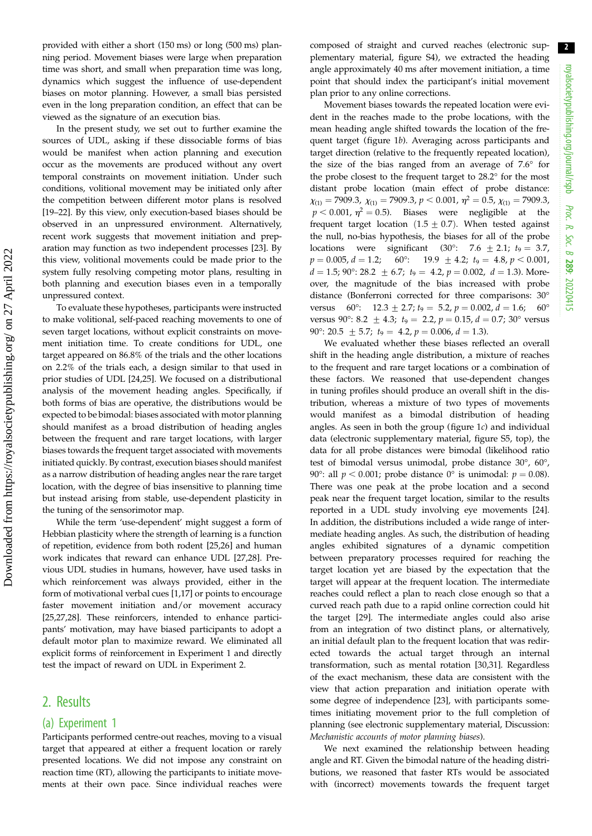provided with either a short (150 ms) or long (500 ms) planning period. Movement biases were large when preparation time was short, and small when preparation time was long, dynamics which suggest the influence of use-dependent biases on motor planning. However, a small bias persisted even in the long preparation condition, an effect that can be viewed as the signature of an execution bias.

In the present study, we set out to further examine the sources of UDL, asking if these dissociable forms of bias would be manifest when action planning and execution occur as the movements are produced without any overt temporal constraints on movement initiation. Under such conditions, volitional movement may be initiated only after the competition between different motor plans is resolved [\[19](#page-7-0)–[22\]](#page-7-0). By this view, only execution-based biases should be observed in an unpressured environment. Alternatively, recent work suggests that movement initiation and preparation may function as two independent processes [[23\]](#page-7-0). By this view, volitional movements could be made prior to the system fully resolving competing motor plans, resulting in both planning and execution biases even in a temporally unpressured context.

To evaluate these hypotheses, participants were instructed to make volitional, self-paced reaching movements to one of seven target locations, without explicit constraints on movement initiation time. To create conditions for UDL, one target appeared on 86.8% of the trials and the other locations on 2.2% of the trials each, a design similar to that used in prior studies of UDL [[24,25](#page-7-0)]. We focused on a distributional analysis of the movement heading angles. Specifically, if both forms of bias are operative, the distributions would be expected to be bimodal: biases associated with motor planning should manifest as a broad distribution of heading angles between the frequent and rare target locations, with larger biases towards the frequent target associated with movements initiated quickly. By contrast, execution biases should manifest as a narrow distribution of heading angles near the rare target location, with the degree of bias insensitive to planning time but instead arising from stable, use-dependent plasticity in the tuning of the sensorimotor map.

While the term 'use-dependent' might suggest a form of Hebbian plasticity where the strength of learning is a function of repetition, evidence from both rodent [[25,26\]](#page-7-0) and human work indicates that reward can enhance UDL [\[27,28](#page-7-0)]. Previous UDL studies in humans, however, have used tasks in which reinforcement was always provided, either in the form of motivational verbal cues [\[1,17\]](#page-7-0) or points to encourage faster movement initiation and/or movement accuracy [\[25](#page-7-0),[27,28\]](#page-7-0). These reinforcers, intended to enhance participants' motivation, may have biased participants to adopt a default motor plan to maximize reward. We eliminated all explicit forms of reinforcement in Experiment 1 and directly test the impact of reward on UDL in Experiment 2.

## 2. Results

#### (a) Experiment 1

Participants performed centre-out reaches, moving to a visual target that appeared at either a frequent location or rarely presented locations. We did not impose any constraint on reaction time (RT), allowing the participants to initiate movements at their own pace. Since individual reaches were composed of straight and curved reaches (electronic supplementary material, figure S4), we extracted the heading angle approximately 40 ms after movement initiation, a time point that should index the participant's initial movement plan prior to any online corrections.

Movement biases towards the repeated location were evident in the reaches made to the probe locations, with the mean heading angle shifted towards the location of the frequent target ([figure 1](#page-2-0)b). Averaging across participants and target direction (relative to the frequently repeated location), the size of the bias ranged from an average of 7.6° for the probe closest to the frequent target to 28.2° for the most distant probe location (main effect of probe distance:  $\chi_{(1)}$  = 7909.3,  $\chi_{(1)}$  = 7909.3, p < 0.001,  $\eta^2$  = 0.5,  $\chi_{(1)}$  = 7909.3,  $p < 0.001$ ,  $\eta^2 = 0.5$ ). Biases were negligible at the frequent target location  $(1.5 \pm 0.7)$ . When tested against the null, no-bias hypothesis, the biases for all of the probe locations were significant (30°: 7.6 ± 2.1;  $t_9 = 3.7$ ,<br>  $p = 0.005$ ,  $d = 1.2$ ; 60°: 19.9 ± 4.2;  $t_9 = 4.8$ ,  $p < 0.001$ , 60°: 19.9  $\pm$  4.2;  $t_9 = 4.8, p < 0.001$ ,  $d = 1.5$ ; 90°: 28.2  $\pm$  6.7;  $t_9 = 4.2$ ,  $p = 0.002$ ,  $d = 1.3$ ). Moreover, the magnitude of the bias increased with probe distance (Bonferroni corrected for three comparisons: 30° versus 60°:  $12.3 \pm 2.7$ ;  $t_9 = 5.2$ ,  $p = 0.002$ ,  $d = 1.6$ ; 60° versus 90°: 8.2  $\pm$  4.3;  $t_9 = 2.2$ ,  $p = 0.15$ ,  $d = 0.7$ ; 30° versus 90°: 20.5  $\pm$  5.7;  $t_9 = 4.2$ ,  $p = 0.006$ ,  $d = 1.3$ ).

We evaluated whether these biases reflected an overall shift in the heading angle distribution, a mixture of reaches to the frequent and rare target locations or a combination of these factors. We reasoned that use-dependent changes in tuning profiles should produce an overall shift in the distribution, whereas a mixture of two types of movements would manifest as a bimodal distribution of heading angles. As seen in both the group (figure  $1c$ ) and individual data (electronic supplementary material, figure S5, top), the data for all probe distances were bimodal (likelihood ratio test of bimodal versus unimodal, probe distance 30°, 60°, 90°: all  $p < 0.001$ ; probe distance 0° is unimodal:  $p = 0.08$ ). There was one peak at the probe location and a second peak near the frequent target location, similar to the results reported in a UDL study involving eye movements [[24\]](#page-7-0). In addition, the distributions included a wide range of intermediate heading angles. As such, the distribution of heading angles exhibited signatures of a dynamic competition between preparatory processes required for reaching the target location yet are biased by the expectation that the target will appear at the frequent location. The intermediate reaches could reflect a plan to reach close enough so that a curved reach path due to a rapid online correction could hit the target [[29](#page-8-0)]. The intermediate angles could also arise from an integration of two distinct plans, or alternatively, an initial default plan to the frequent location that was redirected towards the actual target through an internal transformation, such as mental rotation [[30,31\]](#page-8-0). Regardless of the exact mechanism, these data are consistent with the view that action preparation and initiation operate with some degree of independence [\[23](#page-7-0)], with participants sometimes initiating movement prior to the full completion of planning (see electronic supplementary material, Discussion: Mechanistic accounts of motor planning biases).

We next examined the relationship between heading angle and RT. Given the bimodal nature of the heading distributions, we reasoned that faster RTs would be associated with (incorrect) movements towards the frequent target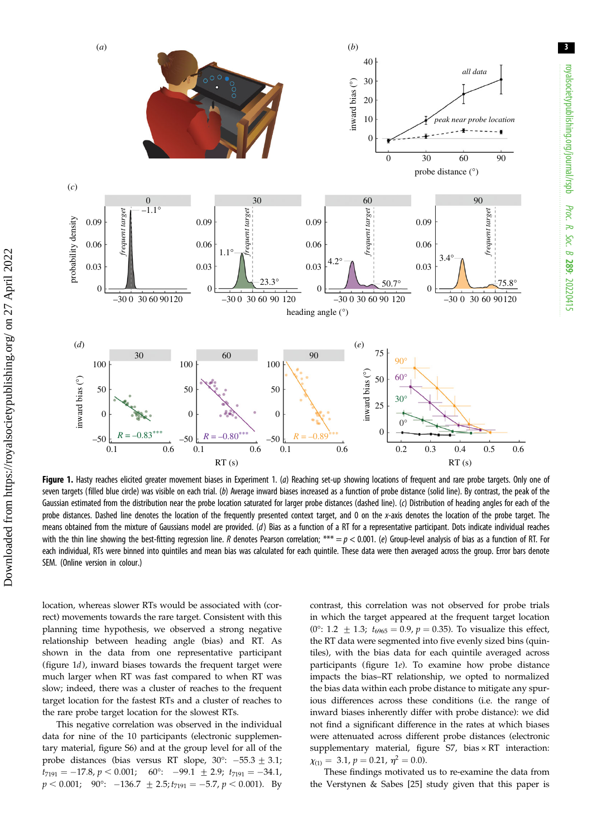3

<span id="page-2-0"></span>

Figure 1. Hasty reaches elicited greater movement biases in Experiment 1. (a) Reaching set-up showing locations of frequent and rare probe targets. Only one of seven targets (filled blue circle) was visible on each trial. (b) Average inward biases increased as a function of probe distance (solid line). By contrast, the peak of the Gaussian estimated from the distribution near the probe location saturated for larger probe distances (dashed line). (c) Distribution of heading angles for each of the probe distances. Dashed line denotes the location of the frequently presented context target, and 0 on the x-axis denotes the location of the probe target. The means obtained from the mixture of Gaussians model are provided. (d) Bias as a function of a RT for a representative participant. Dots indicate individual reaches with the thin line showing the best-fitting regression line. R denotes Pearson correlation; \*\*\* =  $p < 0.001$ . (e) Group-level analysis of bias as a function of RT. For each individual, RTs were binned into quintiles and mean bias was calculated for each quintile. These data were then averaged across the group. Error bars denote SEM. (Online version in colour.)

location, whereas slower RTs would be associated with (correct) movements towards the rare target. Consistent with this planning time hypothesis, we observed a strong negative relationship between heading angle (bias) and RT. As shown in the data from one representative participant (figure 1d), inward biases towards the frequent target were much larger when RT was fast compared to when RT was slow; indeed, there was a cluster of reaches to the frequent target location for the fastest RTs and a cluster of reaches to the rare probe target location for the slowest RTs.

This negative correlation was observed in the individual data for nine of the 10 participants (electronic supplementary material, figure S6) and at the group level for all of the probe distances (bias versus RT slope,  $30^{\circ}$ :  $-55.3 \pm 3.1$ ;  $t_{7191} = -17.8, p < 0.001;$   $60^{\circ}$ :  $-99.1 \pm 2.9; t_{7191} = -34.1,$  $p < 0.001;$  90°:  $-136.7 \pm 2.5; t_{7191} = -5.7, p < 0.001$ ). By

contrast, this correlation was not observed for probe trials in which the target appeared at the frequent target location (0°: 1.2  $\pm$  1.3;  $t_{6965}$  = 0.9, p = 0.35). To visualize this effect, the RT data were segmented into five evenly sized bins (quintiles), with the bias data for each quintile averaged across participants (figure 1e). To examine how probe distance impacts the bias–RT relationship, we opted to normalized the bias data within each probe distance to mitigate any spurious differences across these conditions (i.e. the range of inward biases inherently differ with probe distance): we did not find a significant difference in the rates at which biases were attenuated across different probe distances (electronic supplementary material, figure S7, bias × RT interaction:  $\chi_{(1)} = 3.1, p = 0.21, \eta^2 = 0.0$ .

These findings motivated us to re-examine the data from the Verstynen & Sabes [[25\]](#page-7-0) study given that this paper is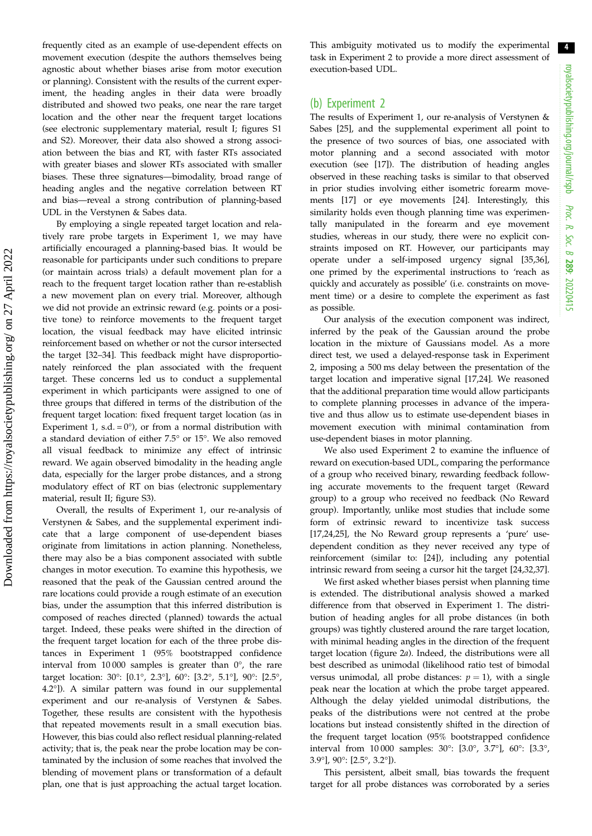frequently cited as an example of use-dependent effects on movement execution (despite the authors themselves being agnostic about whether biases arise from motor execution or planning). Consistent with the results of the current experiment, the heading angles in their data were broadly distributed and showed two peaks, one near the rare target location and the other near the frequent target locations (see electronic supplementary material, result I; figures S1 and S2). Moreover, their data also showed a strong association between the bias and RT, with faster RTs associated with greater biases and slower RTs associated with smaller biases. These three signatures—bimodality, broad range of heading angles and the negative correlation between RT and bias—reveal a strong contribution of planning-based UDL in the Verstynen & Sabes data.

By employing a single repeated target location and relatively rare probe targets in Experiment 1, we may have artificially encouraged a planning-based bias. It would be reasonable for participants under such conditions to prepare (or maintain across trials) a default movement plan for a reach to the frequent target location rather than re-establish a new movement plan on every trial. Moreover, although we did not provide an extrinsic reward (e.g. points or a positive tone) to reinforce movements to the frequent target location, the visual feedback may have elicited intrinsic reinforcement based on whether or not the cursor intersected the target [\[32](#page-8-0)–[34\]](#page-8-0). This feedback might have disproportionately reinforced the plan associated with the frequent target. These concerns led us to conduct a supplemental experiment in which participants were assigned to one of three groups that differed in terms of the distribution of the frequent target location: fixed frequent target location (as in Experiment 1, s.d. =  $0^{\circ}$ ), or from a normal distribution with a standard deviation of either 7.5° or 15°. We also removed all visual feedback to minimize any effect of intrinsic reward. We again observed bimodality in the heading angle data, especially for the larger probe distances, and a strong modulatory effect of RT on bias (electronic supplementary material, result II; figure S3).

Overall, the results of Experiment 1, our re-analysis of Verstynen & Sabes, and the supplemental experiment indicate that a large component of use-dependent biases originate from limitations in action planning. Nonetheless, there may also be a bias component associated with subtle changes in motor execution. To examine this hypothesis, we reasoned that the peak of the Gaussian centred around the rare locations could provide a rough estimate of an execution bias, under the assumption that this inferred distribution is composed of reaches directed (planned) towards the actual target. Indeed, these peaks were shifted in the direction of the frequent target location for each of the three probe distances in Experiment 1 (95% bootstrapped confidence interval from 10 000 samples is greater than 0°, the rare target location: 30°: [0.1°, 2.3°], 60°: [3.2°, 5.1°], 90°: [2.5°, 4.2°]). A similar pattern was found in our supplemental experiment and our re-analysis of Verstynen & Sabes. Together, these results are consistent with the hypothesis that repeated movements result in a small execution bias. However, this bias could also reflect residual planning-related activity; that is, the peak near the probe location may be contaminated by the inclusion of some reaches that involved the blending of movement plans or transformation of a default plan, one that is just approaching the actual target location.

This ambiguity motivated us to modify the experimental task in Experiment 2 to provide a more direct assessment of execution-based UDL.

#### (b) Experiment 2

The results of Experiment 1, our re-analysis of Verstynen & Sabes [[25\]](#page-7-0), and the supplemental experiment all point to the presence of two sources of bias, one associated with motor planning and a second associated with motor execution (see [[17\]](#page-7-0)). The distribution of heading angles observed in these reaching tasks is similar to that observed in prior studies involving either isometric forearm movements [\[17](#page-7-0)] or eye movements [\[24](#page-7-0)]. Interestingly, this similarity holds even though planning time was experimentally manipulated in the forearm and eye movement studies, whereas in our study, there were no explicit constraints imposed on RT. However, our participants may operate under a self-imposed urgency signal [\[35](#page-8-0),[36\]](#page-8-0), one primed by the experimental instructions to 'reach as quickly and accurately as possible' (i.e. constraints on movement time) or a desire to complete the experiment as fast as possible.

Our analysis of the execution component was indirect, inferred by the peak of the Gaussian around the probe location in the mixture of Gaussians model. As a more direct test, we used a delayed-response task in Experiment 2, imposing a 500 ms delay between the presentation of the target location and imperative signal [[17,24\]](#page-7-0). We reasoned that the additional preparation time would allow participants to complete planning processes in advance of the imperative and thus allow us to estimate use-dependent biases in movement execution with minimal contamination from use-dependent biases in motor planning.

We also used Experiment 2 to examine the influence of reward on execution-based UDL, comparing the performance of a group who received binary, rewarding feedback following accurate movements to the frequent target (Reward group) to a group who received no feedback (No Reward group). Importantly, unlike most studies that include some form of extrinsic reward to incentivize task success [[17,24,25](#page-7-0)], the No Reward group represents a 'pure' usedependent condition as they never received any type of reinforcement (similar to: [\[24](#page-7-0)]), including any potential intrinsic reward from seeing a cursor hit the target [\[24](#page-7-0)[,32](#page-8-0),[37\]](#page-8-0).

We first asked whether biases persist when planning time is extended. The distributional analysis showed a marked difference from that observed in Experiment 1. The distribution of heading angles for all probe distances (in both groups) was tightly clustered around the rare target location, with minimal heading angles in the direction of the frequent target location [\(figure 2](#page-4-0)a). Indeed, the distributions were all best described as unimodal (likelihood ratio test of bimodal versus unimodal, all probe distances:  $p = 1$ ), with a single peak near the location at which the probe target appeared. Although the delay yielded unimodal distributions, the peaks of the distributions were not centred at the probe locations but instead consistently shifted in the direction of the frequent target location (95% bootstrapped confidence interval from 10 000 samples: 30°: [3.0°, 3.7°], 60°: [3.3°, 3.9°], 90°: [2.5°, 3.2°]).

This persistent, albeit small, bias towards the frequent target for all probe distances was corroborated by a series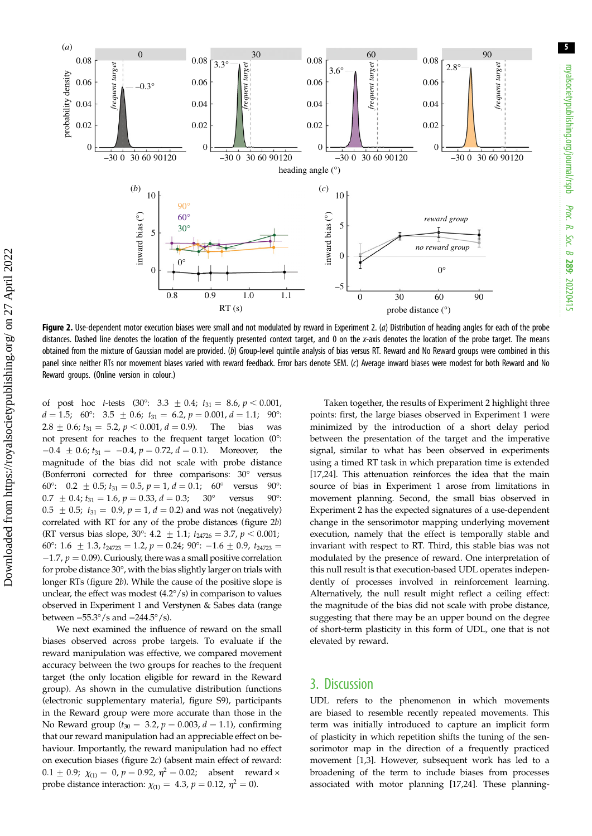5

<span id="page-4-0"></span>

Figure 2. Use-dependent motor execution biases were small and not modulated by reward in Experiment 2. (a) Distribution of heading angles for each of the probe distances. Dashed line denotes the location of the frequently presented context target, and 0 on the x-axis denotes the location of the probe target. The means obtained from the mixture of Gaussian model are provided. (b) Group-level quintile analysis of bias versus RT. Reward and No Reward groups were combined in this panel since neither RTs nor movement biases varied with reward feedback. Error bars denote SEM. (c) Average inward biases were modest for both Reward and No Reward groups. (Online version in colour.)

of post hoc *t*-tests (30°: 3.3  $\pm$  0.4;  $t_{31} = 8.6, p < 0.001$ ,<br> $d = 1.5$ : 60°: 3.5 + 0.6;  $t_{31} = 6.2, p = 0.001$ ,  $d = 1.1$ : 90°:  $d = 1.5$ ; 60°: 3.5  $\pm$  0.6;  $t_{31} = 6.2$ ,  $p = 0.001$ ,  $d = 1.1$ ; 90°:<br>2.8  $\pm$  0.6;  $t_{31} = 5.2$ ,  $p < 0.001$ ,  $d = 0.9$ ). The bias was 2.8  $\pm$  0.6;  $t_{31} = 5.2$ ,  $p < 0.001$ ,  $d = 0.9$ ). not present for reaches to the frequent target location (0°:  $-0.4 \pm 0.6$ ;  $t_{31} = -0.4$ ,  $p = 0.72$ ,  $d = 0.1$ ). Moreover, the magnitude of the bias did not scale with probe distance (Bonferroni corrected for three comparisons: 30° versus 60°: 0.2  $\pm$  0.5;  $t_{31} = 0.5$ ,  $p = 1$ ,  $d = 0.1$ ; 60° versus 90°:<br>0.7  $\pm$  0.4;  $t_{31} = 1.6$ ,  $p = 0.33$ ,  $d = 0.3$ ; 30° versus 90°:  $0.7 \pm 0.4$ ;  $t_{31} = 1.6$ ,  $p = 0.33$ ,  $d = 0.3$ ;  $0.5 \pm 0.5$ ;  $t_{31} = 0.9$ ,  $p = 1$ ,  $d = 0.2$ ) and was not (negatively) correlated with RT for any of the probe distances (figure 2b) (RT versus bias slope, 30°: 4.2  $\pm$  1.1;  $t_{24726} = 3.7$ ,  $p < 0.001$ ; 60°: 1.6  $\pm$  1.3,  $t_{24723} = 1.2$ ,  $p = 0.24$ ; 90°:  $-1.6 \pm 0.9$ ,  $t_{24723} =$  $-1.7$ ,  $p = 0.09$ ). Curiously, there was a small positive correlation for probe distance 30°, with the bias slightly larger on trials with longer RTs (figure 2b). While the cause of the positive slope is unclear, the effect was modest (4.2°/s) in comparison to values observed in Experiment 1 and Verstynen & Sabes data (range between −55.3°/s and −244.5°/s).

We next examined the influence of reward on the small biases observed across probe targets. To evaluate if the reward manipulation was effective, we compared movement accuracy between the two groups for reaches to the frequent target (the only location eligible for reward in the Reward group). As shown in the cumulative distribution functions (electronic supplementary material, figure S9), participants in the Reward group were more accurate than those in the No Reward group ( $t_{30} = 3.2$ ,  $p = 0.003$ ,  $d = 1.1$ ), confirming that our reward manipulation had an appreciable effect on behaviour. Importantly, the reward manipulation had no effect on execution biases (figure 2c) (absent main effect of reward:  $0.1 \pm 0.9$ ;  $\chi_{(1)} = 0$ ,  $p = 0.92$ ,  $\eta^2 = 0.02$ ; absent reward × probe distance interaction:  $\chi_{(1)} = 4.3$ ,  $p = 0.12$ ,  $\eta^2 = 0$ ).

Taken together, the results of Experiment 2 highlight three points: first, the large biases observed in Experiment 1 were minimized by the introduction of a short delay period between the presentation of the target and the imperative signal, similar to what has been observed in experiments using a timed RT task in which preparation time is extended [[17,24\]](#page-7-0). This attenuation reinforces the idea that the main source of bias in Experiment 1 arose from limitations in movement planning. Second, the small bias observed in Experiment 2 has the expected signatures of a use-dependent change in the sensorimotor mapping underlying movement execution, namely that the effect is temporally stable and invariant with respect to RT. Third, this stable bias was not modulated by the presence of reward. One interpretation of this null result is that execution-based UDL operates independently of processes involved in reinforcement learning. Alternatively, the null result might reflect a ceiling effect: the magnitude of the bias did not scale with probe distance, suggesting that there may be an upper bound on the degree of short-term plasticity in this form of UDL, one that is not elevated by reward.

### 3. Discussion

UDL refers to the phenomenon in which movements are biased to resemble recently repeated movements. This term was initially introduced to capture an implicit form of plasticity in which repetition shifts the tuning of the sensorimotor map in the direction of a frequently practiced movement [[1](#page-7-0),[3](#page-7-0)]. However, subsequent work has led to a broadening of the term to include biases from processes associated with motor planning [\[17,24](#page-7-0)]. These planning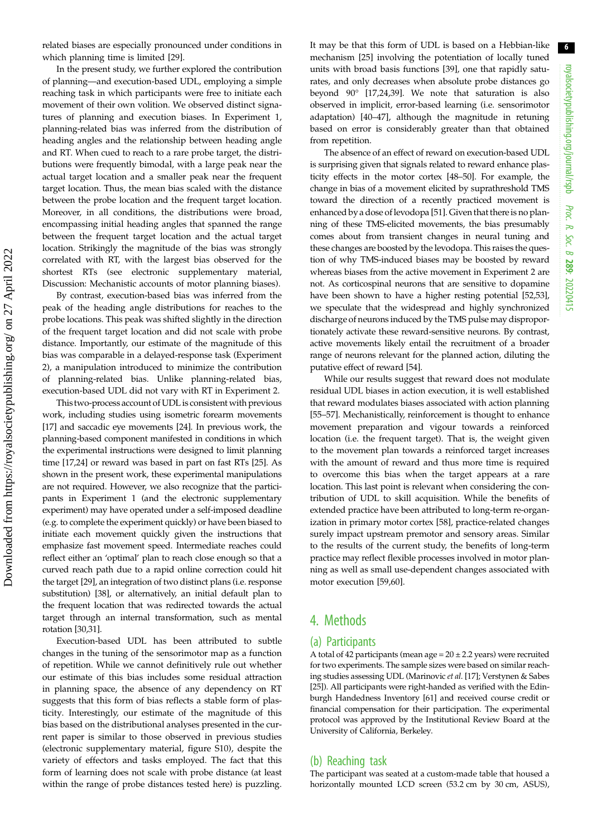related biases are especially pronounced under conditions in which planning time is limited [[29\]](#page-8-0).

In the present study, we further explored the contribution of planning—and execution-based UDL, employing a simple reaching task in which participants were free to initiate each movement of their own volition. We observed distinct signatures of planning and execution biases. In Experiment 1, planning-related bias was inferred from the distribution of heading angles and the relationship between heading angle and RT. When cued to reach to a rare probe target, the distributions were frequently bimodal, with a large peak near the actual target location and a smaller peak near the frequent target location. Thus, the mean bias scaled with the distance between the probe location and the frequent target location. Moreover, in all conditions, the distributions were broad, encompassing initial heading angles that spanned the range between the frequent target location and the actual target location. Strikingly the magnitude of the bias was strongly correlated with RT, with the largest bias observed for the shortest RTs (see electronic supplementary material, Discussion: Mechanistic accounts of motor planning biases).

By contrast, execution-based bias was inferred from the peak of the heading angle distributions for reaches to the probe locations. This peak was shifted slightly in the direction of the frequent target location and did not scale with probe distance. Importantly, our estimate of the magnitude of this bias was comparable in a delayed-response task (Experiment 2), a manipulation introduced to minimize the contribution of planning-related bias. Unlike planning-related bias, execution-based UDL did not vary with RT in Experiment 2.

This two-process account of UDL is consistent with previous work, including studies using isometric forearm movements [\[17](#page-7-0)] and saccadic eye movements [\[24](#page-7-0)]. In previous work, the planning-based component manifested in conditions in which the experimental instructions were designed to limit planning time [[17,24](#page-7-0)] or reward was based in part on fast RTs [\[25\]](#page-7-0). As shown in the present work, these experimental manipulations are not required. However, we also recognize that the participants in Experiment 1 (and the electronic supplementary experiment) may have operated under a self-imposed deadline (e.g. to complete the experiment quickly) or have been biased to initiate each movement quickly given the instructions that emphasize fast movement speed. Intermediate reaches could reflect either an 'optimal' plan to reach close enough so that a curved reach path due to a rapid online correction could hit the target [\[29\]](#page-8-0), an integration of two distinct plans (i.e. response substitution) [\[38](#page-8-0)], or alternatively, an initial default plan to the frequent location that was redirected towards the actual target through an internal transformation, such as mental rotation [[30,31\]](#page-8-0).

Execution-based UDL has been attributed to subtle changes in the tuning of the sensorimotor map as a function of repetition. While we cannot definitively rule out whether our estimate of this bias includes some residual attraction in planning space, the absence of any dependency on RT suggests that this form of bias reflects a stable form of plasticity. Interestingly, our estimate of the magnitude of this bias based on the distributional analyses presented in the current paper is similar to those observed in previous studies (electronic supplementary material, figure S10), despite the variety of effectors and tasks employed. The fact that this form of learning does not scale with probe distance (at least within the range of probe distances tested here) is puzzling.

It may be that this form of UDL is based on a Hebbian-like mechanism [[25\]](#page-7-0) involving the potentiation of locally tuned units with broad basis functions [\[39](#page-8-0)], one that rapidly saturates, and only decreases when absolute probe distances go beyond 90° [\[17,24,](#page-7-0)[39\]](#page-8-0). We note that saturation is also observed in implicit, error-based learning (i.e. sensorimotor adaptation) [[40](#page-8-0)–[47](#page-8-0)], although the magnitude in retuning based on error is considerably greater than that obtained from repetition.

The absence of an effect of reward on execution-based UDL is surprising given that signals related to reward enhance plasticity effects in the motor cortex [\[48](#page-8-0)–[50](#page-8-0)]. For example, the change in bias of a movement elicited by suprathreshold TMS toward the direction of a recently practiced movement is enhanced by a dose of levodopa [\[51](#page-8-0)]. Given that there is no planning of these TMS-elicited movements, the bias presumably comes about from transient changes in neural tuning and these changes are boosted by the levodopa. This raises the question of why TMS-induced biases may be boosted by reward whereas biases from the active movement in Experiment 2 are not. As corticospinal neurons that are sensitive to dopamine have been shown to have a higher resting potential [[52,53\]](#page-8-0), we speculate that the widespread and highly synchronized discharge of neurons induced by the TMS pulse may disproportionately activate these reward-sensitive neurons. By contrast, active movements likely entail the recruitment of a broader range of neurons relevant for the planned action, diluting the putative effect of reward [\[54](#page-8-0)].

While our results suggest that reward does not modulate residual UDL biases in action execution, it is well established that reward modulates biases associated with action planning [[55](#page-8-0)–[57](#page-8-0)]. Mechanistically, reinforcement is thought to enhance movement preparation and vigour towards a reinforced location (i.e. the frequent target). That is, the weight given to the movement plan towards a reinforced target increases with the amount of reward and thus more time is required to overcome this bias when the target appears at a rare location. This last point is relevant when considering the contribution of UDL to skill acquisition. While the benefits of extended practice have been attributed to long-term re-organization in primary motor cortex [[58\]](#page-8-0), practice-related changes surely impact upstream premotor and sensory areas. Similar to the results of the current study, the benefits of long-term practice may reflect flexible processes involved in motor planning as well as small use-dependent changes associated with motor execution [\[59,60](#page-8-0)].

## 4. Methods

#### (a) Participants

A total of 42 participants (mean age =  $20 \pm 2.2$  years) were recruited for two experiments. The sample sizes were based on similar reaching studies assessing UDL (Marinovic et al. [\[17](#page-7-0)]; Verstynen & Sabes [\[25\]](#page-7-0)). All participants were right-handed as verified with the Edinburgh Handedness Inventory [\[61\]](#page-8-0) and received course credit or financial compensation for their participation. The experimental protocol was approved by the Institutional Review Board at the University of California, Berkeley.

#### (b) Reaching task

The participant was seated at a custom-made table that housed a horizontally mounted LCD screen (53.2 cm by 30 cm, ASUS),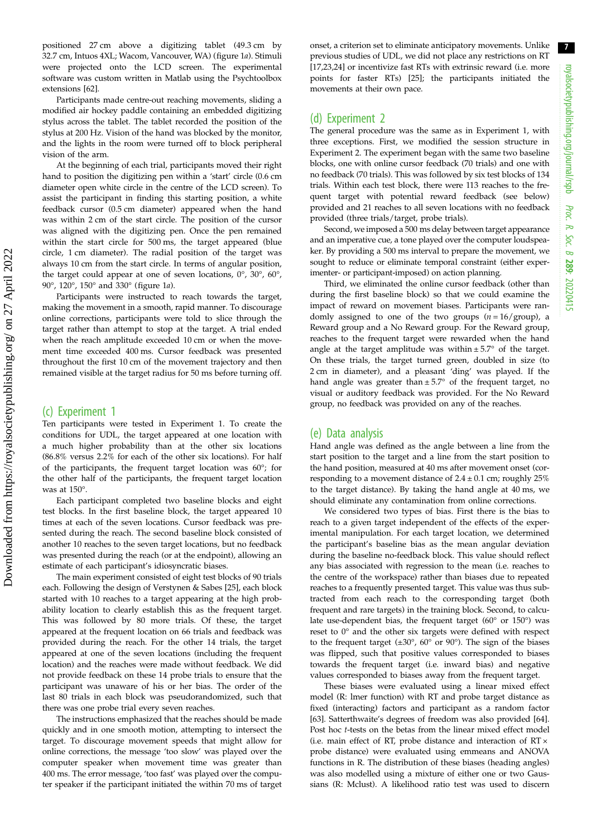positioned 27 cm above a digitizing tablet (49.3 cm by 32.7 cm, Intuos 4XL; Wacom, Vancouver, WA) [\(figure 1](#page-2-0)a). Stimuli were projected onto the LCD screen. The experimental software was custom written in Matlab using the Psychtoolbox extensions [[62](#page-8-0)].

Participants made centre-out reaching movements, sliding a modified air hockey paddle containing an embedded digitizing stylus across the tablet. The tablet recorded the position of the stylus at 200 Hz. Vision of the hand was blocked by the monitor, and the lights in the room were turned off to block peripheral vision of the arm.

At the beginning of each trial, participants moved their right hand to position the digitizing pen within a 'start' circle (0.6 cm diameter open white circle in the centre of the LCD screen). To assist the participant in finding this starting position, a white feedback cursor (0.5 cm diameter) appeared when the hand was within 2 cm of the start circle. The position of the cursor was aligned with the digitizing pen. Once the pen remained within the start circle for 500 ms, the target appeared (blue circle, 1 cm diameter). The radial position of the target was always 10 cm from the start circle. In terms of angular position, the target could appear at one of seven locations, 0°, 30°, 60°, 90°, 120°, 150° and 330° [\(figure 1](#page-2-0)a).

Participants were instructed to reach towards the target, making the movement in a smooth, rapid manner. To discourage online corrections, participants were told to slice through the target rather than attempt to stop at the target. A trial ended when the reach amplitude exceeded 10 cm or when the movement time exceeded 400 ms. Cursor feedback was presented throughout the first 10 cm of the movement trajectory and then remained visible at the target radius for 50 ms before turning off.

#### (c) Experiment 1

Ten participants were tested in Experiment 1. To create the conditions for UDL, the target appeared at one location with a much higher probability than at the other six locations (86.8% versus 2.2% for each of the other six locations). For half of the participants, the frequent target location was 60°; for the other half of the participants, the frequent target location was at 150°.

Each participant completed two baseline blocks and eight test blocks. In the first baseline block, the target appeared 10 times at each of the seven locations. Cursor feedback was presented during the reach. The second baseline block consisted of another 10 reaches to the seven target locations, but no feedback was presented during the reach (or at the endpoint), allowing an estimate of each participant's idiosyncratic biases.

The main experiment consisted of eight test blocks of 90 trials each. Following the design of Verstynen & Sabes [[25](#page-7-0)], each block started with 10 reaches to a target appearing at the high probability location to clearly establish this as the frequent target. This was followed by 80 more trials. Of these, the target appeared at the frequent location on 66 trials and feedback was provided during the reach. For the other 14 trials, the target appeared at one of the seven locations (including the frequent location) and the reaches were made without feedback. We did not provide feedback on these 14 probe trials to ensure that the participant was unaware of his or her bias. The order of the last 80 trials in each block was pseudorandomized, such that there was one probe trial every seven reaches.

The instructions emphasized that the reaches should be made quickly and in one smooth motion, attempting to intersect the target. To discourage movement speeds that might allow for online corrections, the message 'too slow' was played over the computer speaker when movement time was greater than 400 ms. The error message, 'too fast' was played over the computer speaker if the participant initiated the within 70 ms of target

onset, a criterion set to eliminate anticipatory movements. Unlike previous studies of UDL, we did not place any restrictions on RT [[17,23,24](#page-7-0)] or incentivize fast RTs with extrinsic reward (i.e. more points for faster RTs) [\[25\]](#page-7-0); the participants initiated the movements at their own pace.

#### (d) Experiment 2

The general procedure was the same as in Experiment 1, with three exceptions. First, we modified the session structure in Experiment 2. The experiment began with the same two baseline blocks, one with online cursor feedback (70 trials) and one with no feedback (70 trials). This was followed by six test blocks of 134 trials. Within each test block, there were 113 reaches to the frequent target with potential reward feedback (see below) provided and 21 reaches to all seven locations with no feedback provided (three trials/target, probe trials).

Second, we imposed a 500 ms delay between target appearance and an imperative cue, a tone played over the computer loudspeaker. By providing a 500 ms interval to prepare the movement, we sought to reduce or eliminate temporal constraint (either experimenter- or participant-imposed) on action planning.

Third, we eliminated the online cursor feedback (other than during the first baseline block) so that we could examine the impact of reward on movement biases. Participants were randomly assigned to one of the two groups  $(n = 16/$ group), a Reward group and a No Reward group. For the Reward group, reaches to the frequent target were rewarded when the hand angle at the target amplitude was within  $\pm$  5.7° of the target. On these trials, the target turned green, doubled in size (to 2 cm in diameter), and a pleasant 'ding' was played. If the hand angle was greater than  $\pm$  5.7° of the frequent target, no visual or auditory feedback was provided. For the No Reward group, no feedback was provided on any of the reaches.

#### (e) Data analysis

Hand angle was defined as the angle between a line from the start position to the target and a line from the start position to the hand position, measured at 40 ms after movement onset (corresponding to a movement distance of  $2.4 \pm 0.1$  cm; roughly  $25\%$ to the target distance). By taking the hand angle at 40 ms, we should eliminate any contamination from online corrections.

We considered two types of bias. First there is the bias to reach to a given target independent of the effects of the experimental manipulation. For each target location, we determined the participant's baseline bias as the mean angular deviation during the baseline no-feedback block. This value should reflect any bias associated with regression to the mean (i.e. reaches to the centre of the workspace) rather than biases due to repeated reaches to a frequently presented target. This value was thus subtracted from each reach to the corresponding target (both frequent and rare targets) in the training block. Second, to calculate use-dependent bias, the frequent target (60° or 150°) was reset to 0° and the other six targets were defined with respect to the frequent target (±30°, 60° or 90°). The sign of the biases was flipped, such that positive values corresponded to biases towards the frequent target (i.e. inward bias) and negative values corresponded to biases away from the frequent target.

These biases were evaluated using a linear mixed effect model (R: lmer function) with RT and probe target distance as fixed (interacting) factors and participant as a random factor [[63](#page-8-0)]. Satterthwaite's degrees of freedom was also provided [\[64\]](#page-8-0). Post hoc t-tests on the betas from the linear mixed effect model (i.e. main effect of RT, probe distance and interaction of  $RT \times$ probe distance) were evaluated using emmeans and ANOVA functions in R. The distribution of these biases (heading angles) was also modelled using a mixture of either one or two Gaussians (R: Mclust). A likelihood ratio test was used to discern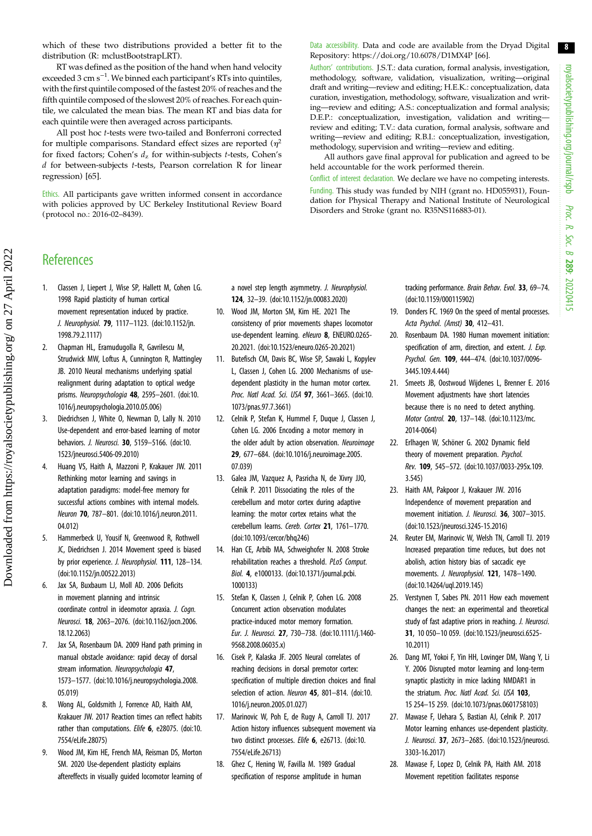8

<span id="page-7-0"></span>which of these two distributions provided a better fit to the distribution (R: mclustBootstrapLRT).

RT was defined as the position of the hand when hand velocity exceeded 3 cm s<sup>-1</sup>. We binned each participant's RTs into quintiles, with the first quintile composed of the fastest 20% of reaches and the fifth quintile composed of the slowest 20% of reaches. For each quintile, we calculated the mean bias. The mean RT and bias data for each quintile were then averaged across participants.

All post hoc t-tests were two-tailed and Bonferroni corrected for multiple comparisons. Standard effect sizes are reported  $(\eta^2)$ for fixed factors; Cohen's  $d_z$  for within-subjects t-tests, Cohen's d for between-subjects t-tests, Pearson correlation R for linear regression) [[65](#page-8-0)].

Ethics. All participants gave written informed consent in accordance with policies approved by UC Berkeley Institutional Review Board (protocol no.: 2016-02–8439).

#### Data accessibility. Data and code are available from the Dryad Digital Repository:<https://doi.org/10.6078/D1MX4P> [[66\]](#page-8-0).

Authors' contributions. J.S.T.: data curation, formal analysis, investigation, methodology, software, validation, visualization, writing—original draft and writing—review and editing; H.E.K.: conceptualization, data curation, investigation, methodology, software, visualization and writing—review and editing; A.S.: conceptualization and formal analysis; D.E.P.: conceptualization, investigation, validation and writing review and editing; T.V.: data curation, formal analysis, software and writing—review and editing; R.B.I.: conceptualization, investigation, methodology, supervision and writing—review and editing.

All authors gave final approval for publication and agreed to be held accountable for the work performed therein.

Conflict of interest declaration. We declare we have no competing interests. Funding. This study was funded by NIH (grant no. HD055931), Foundation for Physical Therapy and National Institute of Neurological Disorders and Stroke (grant no. R35NS116883-01).

## **References**

- 1. Classen J, Liepert J, Wise SP, Hallett M, Cohen LG. 1998 Rapid plasticity of human cortical movement representation induced by practice. J. Neurophysiol. 79, 1117–1123. ([doi:10.1152/jn.](http://dx.doi.org/10.1152/jn.1998.79.2.1117) [1998.79.2.1117](http://dx.doi.org/10.1152/jn.1998.79.2.1117))
- 2. Chapman HL, Eramudugolla R, Gavrilescu M, Strudwick MW, Loftus A, Cunnington R, Mattingley JB. 2010 Neural mechanisms underlying spatial realignment during adaptation to optical wedge prisms. Neuropsychologia 48, 2595-2601. [\(doi:10.](http://dx.doi.org/10.1016/j.neuropsychologia.2010.05.006) [1016/j.neuropsychologia.2010.05.006](http://dx.doi.org/10.1016/j.neuropsychologia.2010.05.006))
- 3. Diedrichsen J, White O, Newman D, Lally N. 2010 Use-dependent and error-based learning of motor behaviors. J. Neurosci. 30, 5159–5166. ([doi:10.](http://dx.doi.org/10.1523/jneurosci.5406-09.2010) [1523/jneurosci.5406-09.2010\)](http://dx.doi.org/10.1523/jneurosci.5406-09.2010)
- 4. Huang VS, Haith A, Mazzoni P, Krakauer JW. 2011 Rethinking motor learning and savings in adaptation paradigms: model-free memory for successful actions combines with internal models. Neuron 70, 787–801. [\(doi:10.1016/j.neuron.2011.](http://dx.doi.org/10.1016/j.neuron.2011.04.012) [04.012\)](http://dx.doi.org/10.1016/j.neuron.2011.04.012)
- 5. Hammerbeck U, Yousif N, Greenwood R, Rothwell JC, Diedrichsen J. 2014 Movement speed is biased by prior experience. J. Neurophysiol. 111, 128-134. [\(doi:10.1152/jn.00522.2013\)](http://dx.doi.org/10.1152/jn.00522.2013)
- 6. Jax SA, Buxbaum LJ, Moll AD. 2006 Deficits in movement planning and intrinsic coordinate control in ideomotor apraxia. J. Cogn. Neurosci. 18, 2063–2076. ([doi:10.1162/jocn.2006.](http://dx.doi.org/10.1162/jocn.2006.18.12.2063) [18.12.2063](http://dx.doi.org/10.1162/jocn.2006.18.12.2063))
- 7. Jax SA, Rosenbaum DA. 2009 Hand path priming in manual obstacle avoidance: rapid decay of dorsal stream information. Neuropsychologia 47, 1573–1577. [\(doi:10.1016/j.neuropsychologia.2008.](http://dx.doi.org/10.1016/j.neuropsychologia.2008.05.019) [05.019\)](http://dx.doi.org/10.1016/j.neuropsychologia.2008.05.019)
- 8. Wong AL, Goldsmith J, Forrence AD, Haith AM, Krakauer JW. 2017 Reaction times can reflect habits rather than computations. Elife 6, e28075. [\(doi:10.](http://dx.doi.org/10.7554/eLife.28075) [7554/eLife.28075\)](http://dx.doi.org/10.7554/eLife.28075)
- 9. Wood JM, Kim HE, French MA, Reisman DS, Morton SM. 2020 Use-dependent plasticity explains aftereffects in visually guided locomotor learning of

a novel step length asymmetry. J. Neurophysiol. 124, 32–39. ([doi:10.1152/jn.00083.2020](http://dx.doi.org/10.1152/jn.00083.2020))

- 10. Wood JM, Morton SM, Kim HE. 2021 The consistency of prior movements shapes locomotor use-dependent learning. eNeuro 8, ENEURO.0265- 20.2021. ([doi:10.1523/eneuro.0265-20.2021\)](http://dx.doi.org/10.1523/eneuro.0265-20.2021)
- 11. Butefisch CM, Davis BC, Wise SP, Sawaki L, Kopylev L, Classen J, Cohen LG. 2000 Mechanisms of usedependent plasticity in the human motor cortex. Proc. Natl Acad. Sci. USA 97, 3661–3665. ([doi:10.](http://dx.doi.org/10.1073/pnas.97.7.3661) [1073/pnas.97.7.3661](http://dx.doi.org/10.1073/pnas.97.7.3661))
- 12. Celnik P, Stefan K, Hummel F, Duque J, Classen J, Cohen LG. 2006 Encoding a motor memory in the older adult by action observation. Neuroimage 29, 677–684. ([doi:10.1016/j.neuroimage.2005.](http://dx.doi.org/10.1016/j.neuroimage.2005.07.039) [07.039](http://dx.doi.org/10.1016/j.neuroimage.2005.07.039))
- 13. Galea JM, Vazquez A, Pasricha N, de Xivry JJO, Celnik P. 2011 Dissociating the roles of the cerebellum and motor cortex during adaptive learning: the motor cortex retains what the cerebellum learns. Cereb. Cortex 21, 1761–1770. [\(doi:10.1093/cercor/bhq246\)](http://dx.doi.org/10.1093/cercor/bhq246)
- 14. Han CE, Arbib MA, Schweighofer N. 2008 Stroke rehabilitation reaches a threshold. PLoS Comput. Biol. 4, e1000133. ([doi:10.1371/journal.pcbi.](http://dx.doi.org/10.1371/journal.pcbi.1000133) [1000133\)](http://dx.doi.org/10.1371/journal.pcbi.1000133)
- 15. Stefan K, Classen J, Celnik P, Cohen LG. 2008 Concurrent action observation modulates practice-induced motor memory formation. Eur. J. Neurosci. 27, 730–738. [\(doi:10.1111/j.1460-](http://dx.doi.org/10.1111/j.1460-9568.2008.06035.x) [9568.2008.06035.x\)](http://dx.doi.org/10.1111/j.1460-9568.2008.06035.x)
- 16. Cisek P, Kalaska JF. 2005 Neural correlates of reaching decisions in dorsal premotor cortex: specification of multiple direction choices and final selection of action. Neuron 45, 801-814. [\(doi:10.](http://dx.doi.org/10.1016/j.neuron.2005.01.027) [1016/j.neuron.2005.01.027\)](http://dx.doi.org/10.1016/j.neuron.2005.01.027)
- 17. Marinovic W, Poh E, de Rugy A, Carroll TJ. 2017 Action history influences subsequent movement via two distinct processes. Elife 6, e26713. [\(doi:10.](http://dx.doi.org/10.7554/eLife.26713) [7554/eLife.26713](http://dx.doi.org/10.7554/eLife.26713))
- 18. Ghez C, Hening W, Favilla M. 1989 Gradual specification of response amplitude in human

tracking performance. Brain Behav. Evol. 33, 69–74. ([doi:10.1159/000115902\)](http://dx.doi.org/10.1159/000115902)

- 19. Donders FC. 1969 On the speed of mental processes. Acta Psychol. (Amst) 30, 412–431.
- 20. Rosenbaum DA. 1980 Human movement initiation: specification of arm, direction, and extent. J. Exp. Psychol. Gen. 109, 444–474. ([doi:10.1037/0096-](http://dx.doi.org/10.1037/0096-3445.109.4.444) [3445.109.4.444\)](http://dx.doi.org/10.1037/0096-3445.109.4.444)
- 21. Smeets JB, Oostwoud Wijdenes L, Brenner E. 2016 Movement adjustments have short latencies because there is no need to detect anything. Motor Control. 20, 137–148. [\(doi:10.1123/mc.](http://dx.doi.org/10.1123/mc.2014-0064) [2014-0064](http://dx.doi.org/10.1123/mc.2014-0064))
- 22. Erlhagen W, Schöner G. 2002 Dynamic field theory of movement preparation. Psychol. Rev. 109, 545–572. [\(doi:10.1037/0033-295x.109.](http://dx.doi.org/10.1037/0033-295x.109.3.545) [3.545\)](http://dx.doi.org/10.1037/0033-295x.109.3.545)
- 23. Haith AM, Pakpoor J, Krakauer JW. 2016 Independence of movement preparation and movement initiation. J. Neurosci. 36, 3007-3015. ([doi:10.1523/jneurosci.3245-15.2016](http://dx.doi.org/10.1523/jneurosci.3245-15.2016))
- 24. Reuter EM, Marinovic W, Welsh TN, Carroll TJ. 2019 Increased preparation time reduces, but does not abolish, action history bias of saccadic eye movements. J. Neurophysiol. 121, 1478–1490. ([doi:10.14264/uql.2019.145\)](http://dx.doi.org/10.14264/uql.2019.145)
- 25. Verstynen T, Sabes PN. 2011 How each movement changes the next: an experimental and theoretical study of fast adaptive priors in reaching. J. Neurosci. 31, 10 050–10 059. ([doi:10.1523/jneurosci.6525-](http://dx.doi.org/10.1523/jneurosci.6525-10.2011) [10.2011\)](http://dx.doi.org/10.1523/jneurosci.6525-10.2011)
- 26. Dang MT, Yokoi F, Yin HH, Lovinger DM, Wang Y, Li Y. 2006 Disrupted motor learning and long-term synaptic plasticity in mice lacking NMDAR1 in the striatum. Proc. Natl Acad. Sci. USA 103, 15 254–15 259. [\(doi:10.1073/pnas.0601758103](http://dx.doi.org/10.1073/pnas.0601758103))
- 27. Mawase F, Uehara S, Bastian AJ, Celnik P. 2017 Motor learning enhances use-dependent plasticity. J. Neurosci. 37, 2673-2685. [\(doi:10.1523/jneurosci.](http://dx.doi.org/10.1523/jneurosci.3303-16.2017) [3303-16.2017\)](http://dx.doi.org/10.1523/jneurosci.3303-16.2017)
- 28. Mawase F, Lopez D, Celnik PA, Haith AM. 2018 Movement repetition facilitates response